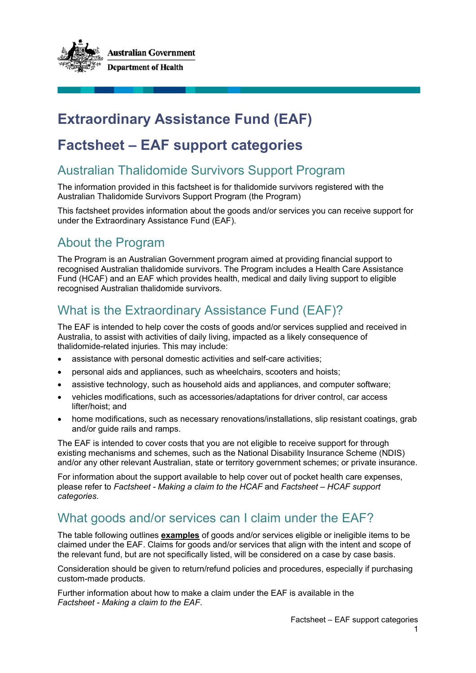

# **Extraordinary Assistance Fund (EAF)**

# **Factsheet – EAF support categories**

## Australian Thalidomide Survivors Support Program

The information provided in this factsheet is for thalidomide survivors registered with the Australian Thalidomide Survivors Support Program (the Program)

This factsheet provides information about the goods and/or services you can receive support for under the Extraordinary Assistance Fund (EAF).

# About the Program

The Program is an Australian Government program aimed at providing financial support to recognised Australian thalidomide survivors. The Program includes a Health Care Assistance Fund (HCAF) and an EAF which provides health, medical and daily living support to eligible recognised Australian thalidomide survivors.

# What is the Extraordinary Assistance Fund (EAF)?

The EAF is intended to help cover the costs of goods and/or services supplied and received in Australia, to assist with activities of daily living, impacted as a likely consequence of thalidomide-related injuries. This may include:

- assistance with personal domestic activities and self-care activities;
- personal aids and appliances, such as wheelchairs, scooters and hoists;
- assistive technology, such as household aids and appliances, and computer software;
- vehicles modifications, such as accessories/adaptations for driver control, car access lifter/hoist; and
- home modifications, such as necessary renovations/installations, slip resistant coatings, grab and/or guide rails and ramps.

The EAF is intended to cover costs that you are not eligible to receive support for through existing mechanisms and schemes, such as the National Disability Insurance Scheme (NDIS) and/or any other relevant Australian, state or territory government schemes; or private insurance.

For information about the support available to help cover out of pocket health care expenses, please refer to *Factsheet - Making a claim to the HCAF* and *Factsheet – HCAF support categories*.

## What goods and/or services can I claim under the EAF?

The table following outlines **examples** of goods and/or services eligible or ineligible items to be claimed under the EAF. Claims for goods and/or services that align with the intent and scope of the relevant fund, but are not specifically listed, will be considered on a case by case basis.

Consideration should be given to return/refund policies and procedures, especially if purchasing custom-made products.

Further information about how to make a claim under the EAF is available in the *Factsheet - Making a claim to the EAF*.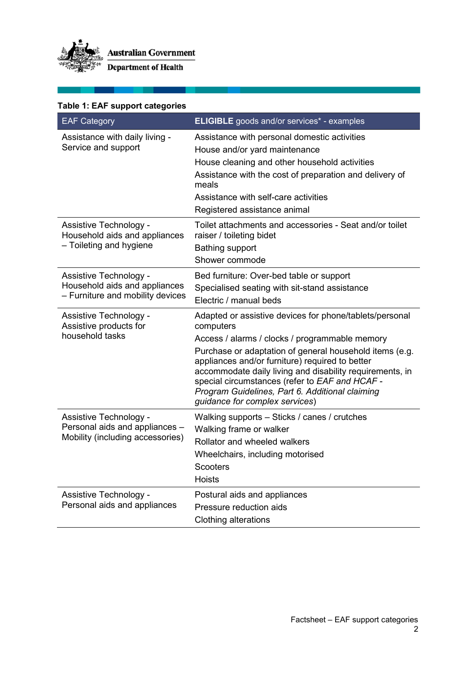

| Table 1: EAF support categories |  |  |
|---------------------------------|--|--|
|---------------------------------|--|--|

| <b>EAF Category</b>                                                                          | <b>ELIGIBLE</b> goods and/or services* - examples                                                                                                                                                                                                                                                                                                                                                                                       |
|----------------------------------------------------------------------------------------------|-----------------------------------------------------------------------------------------------------------------------------------------------------------------------------------------------------------------------------------------------------------------------------------------------------------------------------------------------------------------------------------------------------------------------------------------|
| Assistance with daily living -<br>Service and support                                        | Assistance with personal domestic activities<br>House and/or yard maintenance<br>House cleaning and other household activities<br>Assistance with the cost of preparation and delivery of<br>meals<br>Assistance with self-care activities<br>Registered assistance animal                                                                                                                                                              |
| Assistive Technology -<br>Household aids and appliances<br>- Toileting and hygiene           | Toilet attachments and accessories - Seat and/or toilet<br>raiser / toileting bidet<br><b>Bathing support</b><br>Shower commode                                                                                                                                                                                                                                                                                                         |
| Assistive Technology -<br>Household aids and appliances<br>- Furniture and mobility devices  | Bed furniture: Over-bed table or support<br>Specialised seating with sit-stand assistance<br>Electric / manual beds                                                                                                                                                                                                                                                                                                                     |
| Assistive Technology -<br>Assistive products for<br>household tasks                          | Adapted or assistive devices for phone/tablets/personal<br>computers<br>Access / alarms / clocks / programmable memory<br>Purchase or adaptation of general household items (e.g.<br>appliances and/or furniture) required to better<br>accommodate daily living and disability requirements, in<br>special circumstances (refer to EAF and HCAF -<br>Program Guidelines, Part 6. Additional claiming<br>guidance for complex services) |
| Assistive Technology -<br>Personal aids and appliances -<br>Mobility (including accessories) | Walking supports - Sticks / canes / crutches<br>Walking frame or walker<br>Rollator and wheeled walkers<br>Wheelchairs, including motorised<br><b>Scooters</b><br>Hoists                                                                                                                                                                                                                                                                |
| Assistive Technology -<br>Personal aids and appliances                                       | Postural aids and appliances<br>Pressure reduction aids<br><b>Clothing alterations</b>                                                                                                                                                                                                                                                                                                                                                  |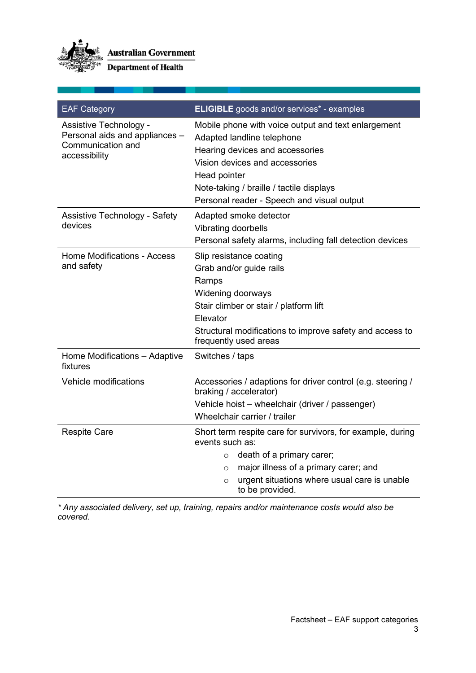

**Australian Government** 

**Department of Health** 

| <b>EAF Category</b>                                                                            | <b>ELIGIBLE</b> goods and/or services* - examples                                                                                                                                                                                                                |  |
|------------------------------------------------------------------------------------------------|------------------------------------------------------------------------------------------------------------------------------------------------------------------------------------------------------------------------------------------------------------------|--|
| Assistive Technology -<br>Personal aids and appliances -<br>Communication and<br>accessibility | Mobile phone with voice output and text enlargement<br>Adapted landline telephone<br>Hearing devices and accessories<br>Vision devices and accessories<br>Head pointer<br>Note-taking / braille / tactile displays<br>Personal reader - Speech and visual output |  |
| <b>Assistive Technology - Safety</b><br>devices                                                | Adapted smoke detector<br>Vibrating doorbells<br>Personal safety alarms, including fall detection devices                                                                                                                                                        |  |
| <b>Home Modifications - Access</b><br>and safety                                               | Slip resistance coating<br>Grab and/or guide rails<br>Ramps<br>Widening doorways<br>Stair climber or stair / platform lift<br>Elevator<br>Structural modifications to improve safety and access to<br>frequently used areas                                      |  |
| Home Modifications - Adaptive<br>fixtures                                                      | Switches / taps                                                                                                                                                                                                                                                  |  |
| Vehicle modifications                                                                          | Accessories / adaptions for driver control (e.g. steering /<br>braking / accelerator)<br>Vehicle hoist - wheelchair (driver / passenger)<br>Wheelchair carrier / trailer                                                                                         |  |
| <b>Respite Care</b>                                                                            | Short term respite care for survivors, for example, during<br>events such as:<br>death of a primary carer;<br>$\Omega$<br>major illness of a primary carer; and<br>$\circ$<br>urgent situations where usual care is unable<br>$\circ$<br>to be provided.         |  |

*\* Any associated delivery, set up, training, repairs and/or maintenance costs would also be covered.*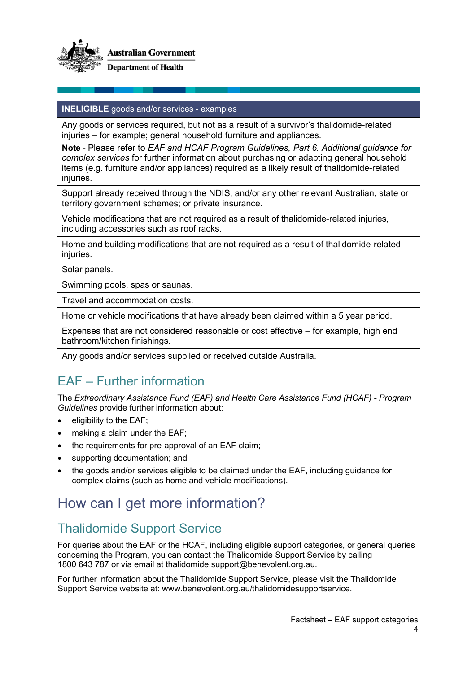

#### **INELIGIBLE** goods and/or services - examples

Any goods or services required, but not as a result of a survivor's thalidomide-related injuries – for example; general household furniture and appliances.

**Note** - Please refer to *EAF and HCAF Program Guidelines, Part 6. Additional guidance for complex services* for further information about purchasing or adapting general household items (e.g. furniture and/or appliances) required as a likely result of thalidomide-related injuries.

Support already received through the NDIS, and/or any other relevant Australian, state or territory government schemes; or private insurance.

Vehicle modifications that are not required as a result of thalidomide-related injuries, including accessories such as roof racks.

Home and building modifications that are not required as a result of thalidomide-related injuries.

Solar panels.

Swimming pools, spas or saunas.

Travel and accommodation costs.

Home or vehicle modifications that have already been claimed within a 5 year period.

Expenses that are not considered reasonable or cost effective – for example, high end bathroom/kitchen finishings.

Any goods and/or services supplied or received outside Australia.

## EAF – Further information

The *Extraordinary Assistance Fund (EAF) and Health Care Assistance Fund (HCAF) - Program Guidelines* provide further information about:

- eligibility to the EAF;
- making a claim under the EAF:
- the requirements for pre-approval of an EAF claim;
- supporting documentation; and
- the goods and/or services eligible to be claimed under the EAF, including guidance for complex claims (such as home and vehicle modifications).

# How can I get more information?

## Thalidomide Support Service

For queries about the EAF or the HCAF, including eligible support categories, or general queries concerning the Program, you can contact the Thalidomide Support Service by calling 1800 643 787 or via email at thalidomide.support@benevolent.org.au.

For further information about the Thalidomide Support Service, please visit the Thalidomide Support Service website at: www.benevolent.org.au/thalidomidesupportservice.